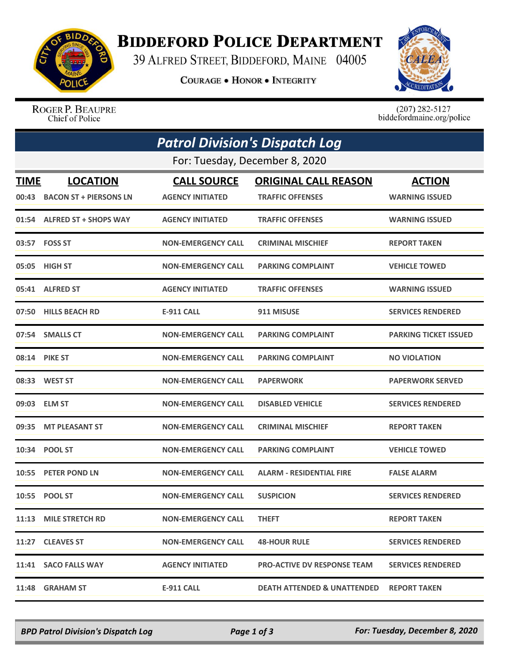

## **BIDDEFORD POLICE DEPARTMENT**

39 ALFRED STREET, BIDDEFORD, MAINE 04005

**COURAGE . HONOR . INTEGRITY** 



ROGER P. BEAUPRE Chief of Police

 $(207)$  282-5127<br>biddefordmaine.org/police

|                                | <b>Patrol Division's Dispatch Log</b> |                           |                                    |                              |  |  |  |
|--------------------------------|---------------------------------------|---------------------------|------------------------------------|------------------------------|--|--|--|
| For: Tuesday, December 8, 2020 |                                       |                           |                                    |                              |  |  |  |
| <b>TIME</b>                    | <b>LOCATION</b>                       | <b>CALL SOURCE</b>        | <b>ORIGINAL CALL REASON</b>        | <b>ACTION</b>                |  |  |  |
|                                | 00:43 BACON ST + PIERSONS LN          | <b>AGENCY INITIATED</b>   | <b>TRAFFIC OFFENSES</b>            | <b>WARNING ISSUED</b>        |  |  |  |
|                                | 01:54 ALFRED ST + SHOPS WAY           | <b>AGENCY INITIATED</b>   | <b>TRAFFIC OFFENSES</b>            | <b>WARNING ISSUED</b>        |  |  |  |
|                                | 03:57 FOSS ST                         | <b>NON-EMERGENCY CALL</b> | <b>CRIMINAL MISCHIEF</b>           | <b>REPORT TAKEN</b>          |  |  |  |
| 05:05                          | <b>HIGH ST</b>                        | <b>NON-EMERGENCY CALL</b> | <b>PARKING COMPLAINT</b>           | <b>VEHICLE TOWED</b>         |  |  |  |
|                                | 05:41 ALFRED ST                       | <b>AGENCY INITIATED</b>   | <b>TRAFFIC OFFENSES</b>            | <b>WARNING ISSUED</b>        |  |  |  |
|                                | 07:50 HILLS BEACH RD                  | E-911 CALL                | 911 MISUSE                         | <b>SERVICES RENDERED</b>     |  |  |  |
|                                | 07:54 SMALLS CT                       | <b>NON-EMERGENCY CALL</b> | <b>PARKING COMPLAINT</b>           | <b>PARKING TICKET ISSUED</b> |  |  |  |
|                                | 08:14 PIKE ST                         | <b>NON-EMERGENCY CALL</b> | <b>PARKING COMPLAINT</b>           | <b>NO VIOLATION</b>          |  |  |  |
|                                | 08:33 WEST ST                         | <b>NON-EMERGENCY CALL</b> | <b>PAPERWORK</b>                   | <b>PAPERWORK SERVED</b>      |  |  |  |
| 09:03                          | <b>ELM ST</b>                         | <b>NON-EMERGENCY CALL</b> | <b>DISABLED VEHICLE</b>            | <b>SERVICES RENDERED</b>     |  |  |  |
| 09:35                          | <b>MT PLEASANT ST</b>                 | <b>NON-EMERGENCY CALL</b> | <b>CRIMINAL MISCHIEF</b>           | <b>REPORT TAKEN</b>          |  |  |  |
| 10:34                          | <b>POOL ST</b>                        | <b>NON-EMERGENCY CALL</b> | <b>PARKING COMPLAINT</b>           | <b>VEHICLE TOWED</b>         |  |  |  |
| 10:55                          | <b>PETER POND LN</b>                  | <b>NON-EMERGENCY CALL</b> | <b>ALARM - RESIDENTIAL FIRE</b>    | <b>FALSE ALARM</b>           |  |  |  |
|                                | 10:55 POOL ST                         | <b>NON-EMERGENCY CALL</b> | <b>SUSPICION</b>                   | <b>SERVICES RENDERED</b>     |  |  |  |
|                                | 11:13 MILE STRETCH RD                 | <b>NON-EMERGENCY CALL</b> | <b>THEFT</b>                       | <b>REPORT TAKEN</b>          |  |  |  |
|                                | 11:27 CLEAVES ST                      | <b>NON-EMERGENCY CALL</b> | <b>48-HOUR RULE</b>                | <b>SERVICES RENDERED</b>     |  |  |  |
|                                | 11:41 SACO FALLS WAY                  | <b>AGENCY INITIATED</b>   | <b>PRO-ACTIVE DV RESPONSE TEAM</b> | <b>SERVICES RENDERED</b>     |  |  |  |
|                                | 11:48 GRAHAM ST                       | <b>E-911 CALL</b>         | DEATH ATTENDED & UNATTENDED        | <b>REPORT TAKEN</b>          |  |  |  |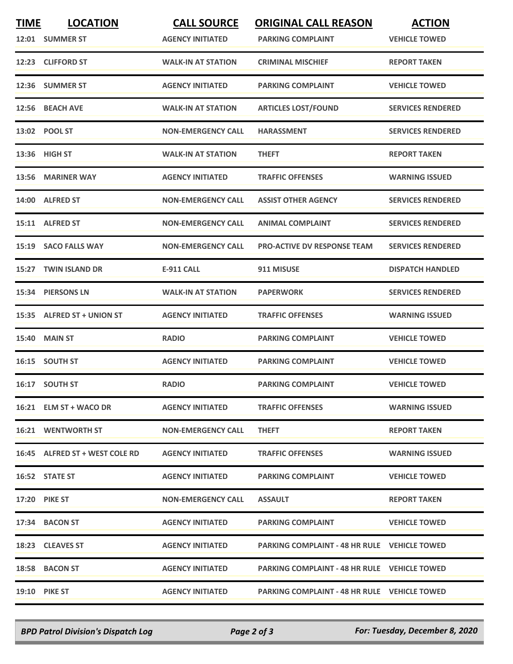| <b>TIME</b> | <b>LOCATION</b>                | <b>CALL SOURCE</b>        | <b>ORIGINAL CALL REASON</b>                         | <b>ACTION</b>            |
|-------------|--------------------------------|---------------------------|-----------------------------------------------------|--------------------------|
|             | 12:01 SUMMER ST                | <b>AGENCY INITIATED</b>   | <b>PARKING COMPLAINT</b>                            | <b>VEHICLE TOWED</b>     |
|             | 12:23 CLIFFORD ST              | <b>WALK-IN AT STATION</b> | <b>CRIMINAL MISCHIEF</b>                            | <b>REPORT TAKEN</b>      |
|             | 12:36 SUMMER ST                | <b>AGENCY INITIATED</b>   | <b>PARKING COMPLAINT</b>                            | <b>VEHICLE TOWED</b>     |
| 12:56       | <b>BEACH AVE</b>               | <b>WALK-IN AT STATION</b> | <b>ARTICLES LOST/FOUND</b>                          | <b>SERVICES RENDERED</b> |
|             | 13:02 POOL ST                  | <b>NON-EMERGENCY CALL</b> | <b>HARASSMENT</b>                                   | <b>SERVICES RENDERED</b> |
|             | 13:36 HIGH ST                  | <b>WALK-IN AT STATION</b> | <b>THEFT</b>                                        | <b>REPORT TAKEN</b>      |
| 13:56       | <b>MARINER WAY</b>             | <b>AGENCY INITIATED</b>   | <b>TRAFFIC OFFENSES</b>                             | <b>WARNING ISSUED</b>    |
|             | 14:00 ALFRED ST                | <b>NON-EMERGENCY CALL</b> | <b>ASSIST OTHER AGENCY</b>                          | <b>SERVICES RENDERED</b> |
|             | 15:11 ALFRED ST                | <b>NON-EMERGENCY CALL</b> | <b>ANIMAL COMPLAINT</b>                             | <b>SERVICES RENDERED</b> |
| 15:19       | <b>SACO FALLS WAY</b>          | <b>NON-EMERGENCY CALL</b> | <b>PRO-ACTIVE DV RESPONSE TEAM</b>                  | <b>SERVICES RENDERED</b> |
|             | 15:27 TWIN ISLAND DR           | E-911 CALL                | 911 MISUSE                                          | <b>DISPATCH HANDLED</b>  |
|             | 15:34 PIERSONS LN              | <b>WALK-IN AT STATION</b> | <b>PAPERWORK</b>                                    | <b>SERVICES RENDERED</b> |
|             | 15:35 ALFRED ST + UNION ST     | <b>AGENCY INITIATED</b>   | <b>TRAFFIC OFFENSES</b>                             | <b>WARNING ISSUED</b>    |
| 15:40       | <b>MAIN ST</b>                 | <b>RADIO</b>              | <b>PARKING COMPLAINT</b>                            | <b>VEHICLE TOWED</b>     |
|             | 16:15 SOUTH ST                 | <b>AGENCY INITIATED</b>   | <b>PARKING COMPLAINT</b>                            | <b>VEHICLE TOWED</b>     |
|             | 16:17 SOUTH ST                 | <b>RADIO</b>              | <b>PARKING COMPLAINT</b>                            | <b>VEHICLE TOWED</b>     |
|             | 16:21 ELM ST + WACO DR         | <b>AGENCY INITIATED</b>   | <b>TRAFFIC OFFENSES</b>                             | <b>WARNING ISSUED</b>    |
|             | <b>16:21 WENTWORTH ST</b>      | <b>NON-EMERGENCY CALL</b> | <b>THEFT</b>                                        | <b>REPORT TAKEN</b>      |
|             | 16:45 ALFRED ST + WEST COLE RD | <b>AGENCY INITIATED</b>   | <b>TRAFFIC OFFENSES</b>                             | <b>WARNING ISSUED</b>    |
|             | 16:52 STATE ST                 | <b>AGENCY INITIATED</b>   | <b>PARKING COMPLAINT</b>                            | <b>VEHICLE TOWED</b>     |
|             | <b>17:20 PIKE ST</b>           | <b>NON-EMERGENCY CALL</b> | <b>ASSAULT</b>                                      | <b>REPORT TAKEN</b>      |
|             | 17:34 BACON ST                 | <b>AGENCY INITIATED</b>   | <b>PARKING COMPLAINT</b>                            | <b>VEHICLE TOWED</b>     |
|             | 18:23 CLEAVES ST               | <b>AGENCY INITIATED</b>   | <b>PARKING COMPLAINT - 48 HR RULE VEHICLE TOWED</b> |                          |
|             | 18:58 BACON ST                 | <b>AGENCY INITIATED</b>   | <b>PARKING COMPLAINT - 48 HR RULE VEHICLE TOWED</b> |                          |
|             | <b>19:10 PIKE ST</b>           | <b>AGENCY INITIATED</b>   | <b>PARKING COMPLAINT - 48 HR RULE VEHICLE TOWED</b> |                          |

*BPD Patrol Division's Dispatch Log Page 2 of 3 For: Tuesday, December 8, 2020*